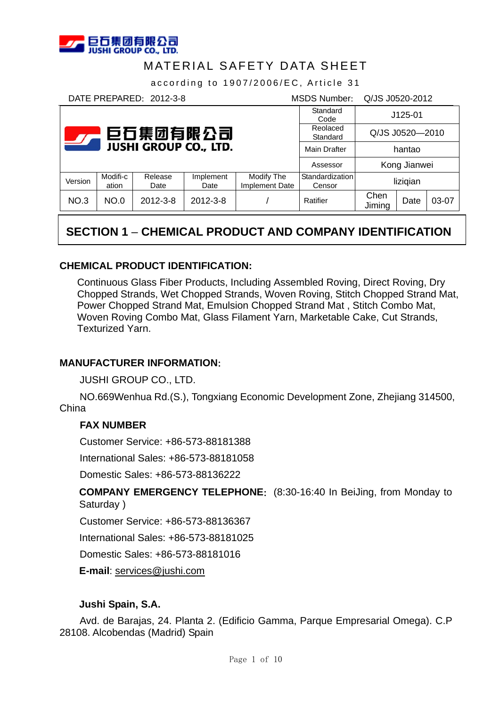

Version Modifi-c

# MATERIAL SAFETY DATA SHEET

according to 1907/2006/EC, Article 31

DATE PREPARED:2012-3-8 MSDS Number: Q/JS J0520-2012 Standard Reolaced

| 巨石集团有限公司<br>$\overline{\mathbf{y}}$ |                   |                 |                   |                              | Standard<br>Code          | $J125-01$       |              |       |
|-------------------------------------|-------------------|-----------------|-------------------|------------------------------|---------------------------|-----------------|--------------|-------|
|                                     |                   |                 |                   |                              | Reolaced<br>Standard      | Q/JS J0520-2010 |              |       |
| <b>JUSHI GROUP CO., LTD.</b>        |                   |                 |                   | <b>Main Drafter</b>          | hantao                    |                 |              |       |
|                                     |                   |                 |                   |                              | Assessor                  |                 | Kong Jianwei |       |
| /ersion                             | Modifi-c<br>ation | Release<br>Date | Implement<br>Date | Modify The<br>Implement Date | Standardization<br>Censor | lizigian        |              |       |
| <b>NO.3</b>                         | <b>NO.0</b>       | 2012-3-8        | $2012 - 3 - 8$    |                              | Ratifier                  | Chen<br>Jiming  | Date         | 03-07 |

# **SECTION 1** – **CHEMICAL PRODUCT AND COMPANY IDENTIFICATION**

### **CHEMICAL PRODUCT IDENTIFICATION:**

Continuous Glass Fiber Products, Including Assembled Roving, Direct Roving, Dry Chopped Strands, Wet Chopped Strands, Woven Roving, Stitch Chopped Strand Mat, Power Chopped Strand Mat, Emulsion Chopped Strand Mat , Stitch Combo Mat, Woven Roving Combo Mat, Glass Filament Yarn, Marketable Cake, Cut Strands, Texturized Yarn.

#### **MANUFACTURER INFORMATION**:

JUSHI GROUP CO., LTD.

NO.669Wenhua Rd.(S.), Tongxiang Economic Development Zone, Zhejiang 314500, China

#### **FAX NUMBER**

Customer Service: +86-573-88181388

International Sales: +86-573-88181058

Domestic Sales: +86-573-88136222

**COMPANY EMERGENCY TELEPHONE:** (8:30-16:40 In BeiJing, from Monday to Saturday )

Customer Service: +86-573-88136367

International Sales: +86-573-88181025

Domestic Sales: +86-573-88181016

**E-mail**: services@jushi.com

#### **Jushi Spain, S.A.**

Avd. de Barajas, 24. Planta 2. (Edificio Gamma, Parque Empresarial Omega). C.P 28108. Alcobendas (Madrid) Spain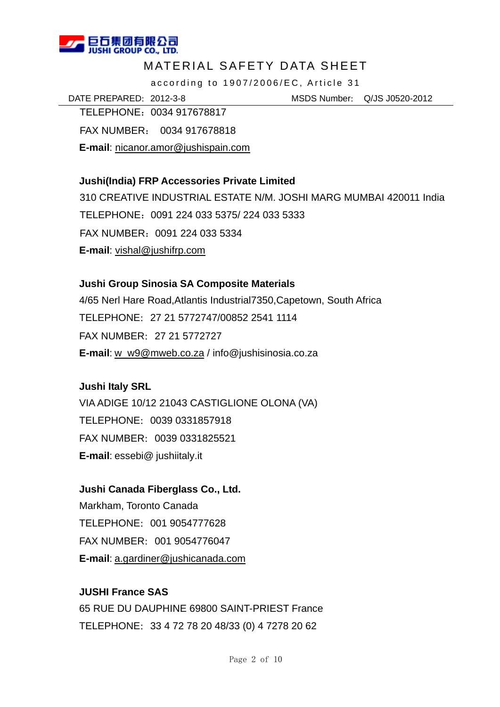

according to 1907/2006/EC, Article 31

DATE PREPARED:2012-3-8 MSDS Number: Q/JS J0520-2012

TELEPHONE:0034 917678817 FAX NUMBER: 0034 917678818 **E-mail**: nicanor.amor@jushispain.com

### **Jushi(India) FRP Accessories Private Limited**

310 CREATIVE INDUSTRIAL ESTATE N/M. JOSHI MARG MUMBAI 420011 India TELEPHONE:0091 224 033 5375/ 224 033 5333 FAX NUMBER:0091 224 033 5334 **E-mail**: vishal@jushifrp.com

### **Jushi Group Sinosia SA Composite Materials**

4/65 Nerl Hare Road,Atlantis Industrial7350,Capetown, South Africa TELEPHONE:27 21 5772747/00852 2541 1114 FAX NUMBER:27 21 5772727 **E-mail**: w\_w9@mweb.co.za / info@jushisinosia.co.za

### **Jushi Italy SRL**

VIA ADIGE 10/12 21043 CASTIGLIONE OLONA (VA) TELEPHONE:0039 0331857918 FAX NUMBER:0039 0331825521 **E-mail**: essebi@ jushiitaly.it

### **Jushi Canada Fiberglass Co., Ltd.**

Markham, Toronto Canada TELEPHONE:001 9054777628 FAX NUMBER:001 9054776047 **E-mail**: a.gardiner@jushicanada.com

### **JUSHI France SAS**

65 RUE DU DAUPHINE 69800 SAINT-PRIEST France TELEPHONE:33 4 72 78 20 48/33 (0) 4 7278 20 62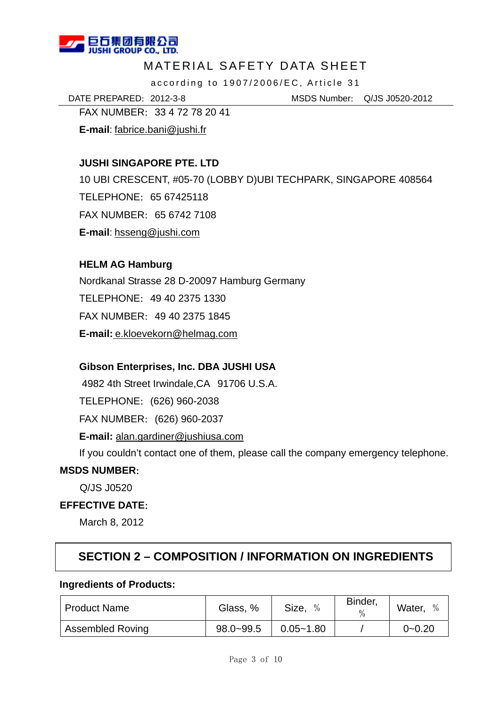

according to 1907/2006/EC, Article 31

DATE PREPARED:2012-3-8 MSDS Number: Q/JS J0520-2012

FAX NUMBER:33 4 72 78 20 41

**E-mail**: fabrice.bani@jushi.fr

### **JUSHI SINGAPORE PTE. LTD**

10 UBI CRESCENT, #05-70 (LOBBY D)UBI TECHPARK, SINGAPORE 408564 TELEPHONE:65 67425118 FAX NUMBER:65 6742 7108 **E-mail**: hsseng@jushi.com

### **HELM AG Hamburg**

Nordkanal Strasse 28 D-20097 Hamburg Germany TELEPHONE:49 40 2375 1330 FAX NUMBER:49 40 2375 1845 **E-mail:** e.kloevekorn@helmag.com

### **Gibson Enterprises, Inc. DBA JUSHI USA**

 4982 4th Street Irwindale,CA 91706 U.S.A. TELEPHONE:(626) 960-2038 FAX NUMBER:(626) 960-2037 **E-mail:** alan.gardiner@jushiusa.com If you couldn't contact one of them, please call the company emergency telephone.

### **MSDS NUMBER**:

Q/JS J0520

### **EFFECTIVE DATE**:

March 8, 2012

# **SECTION 2 – COMPOSITION / INFORMATION ON INGREDIENTS**

#### **Ingredients of Products:**

| <b>Product Name</b>     | Glass, %      | Size,<br>$\%$ | Binder,<br>$\frac{0}{0}$ | Water,<br>$\frac{0}{0}$ |
|-------------------------|---------------|---------------|--------------------------|-------------------------|
| <b>Assembled Roving</b> | $98.0 - 99.5$ | $0.05 - 1.80$ |                          | $0 - 0.20$              |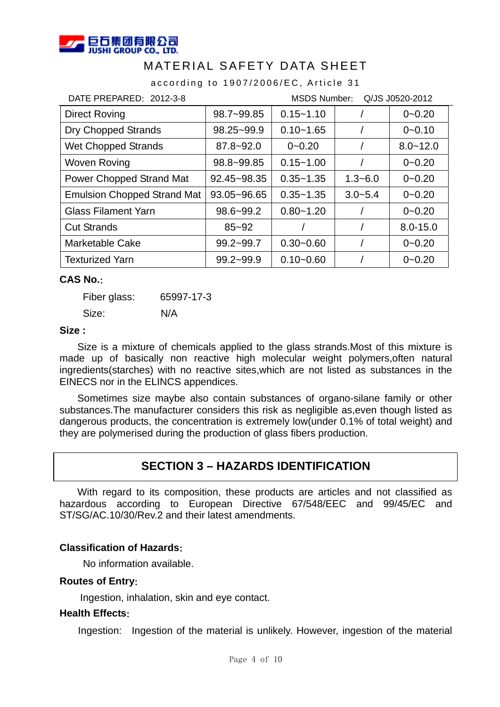

according to 1907/2006/EC, Article 31

| DATE PREPARED: 2012-3-8<br><b>MSDS Number:</b><br>Q/JS J0520-2012 |                |               |             |              |
|-------------------------------------------------------------------|----------------|---------------|-------------|--------------|
| Direct Roving                                                     | 98.7~99.85     | $0.15 - 1.10$ |             | $0 - 0.20$   |
| <b>Dry Chopped Strands</b>                                        | $98.25 - 99.9$ | $0.10 - 1.65$ |             | $0 - 0.10$   |
| <b>Wet Chopped Strands</b>                                        | $87.8 - 92.0$  | $0 - 0.20$    |             | $8.0 - 12.0$ |
| <b>Woven Roving</b>                                               | 98.8~99.85     | $0.15 - 1.00$ |             | $0 - 0.20$   |
| Power Chopped Strand Mat                                          | 92.45~98.35    | $0.35 - 1.35$ | $1.3 - 6.0$ | $0 - 0.20$   |
| <b>Emulsion Chopped Strand Mat</b>                                | 93.05~96.65    | $0.35 - 1.35$ | $3.0 - 5.4$ | $0 - 0.20$   |
| <b>Glass Filament Yarn</b>                                        | $98.6 - 99.2$  | $0.80 - 1.20$ |             | $0 - 0.20$   |
| <b>Cut Strands</b>                                                | $85 - 92$      |               |             | $8.0 - 15.0$ |
| Marketable Cake                                                   | $99.2 - 99.7$  | $0.30 - 0.60$ |             | $0 - 0.20$   |
| <b>Texturized Yarn</b>                                            | $99.2 - 99.9$  | $0.10 - 0.60$ |             | $0 - 0.20$   |

#### **CAS No.**:

Fiber glass: 65997-17-3

Size: N/A

#### **Size :**

Size is a mixture of chemicals applied to the glass strands.Most of this mixture is made up of basically non reactive high molecular weight polymers,often natural ingredients(starches) with no reactive sites,which are not listed as substances in the EINECS nor in the ELINCS appendices.

Sometimes size maybe also contain substances of organo-silane family or other substances.The manufacturer considers this risk as negligible as,even though listed as dangerous products, the concentration is extremely low(under 0.1% of total weight) and they are polymerised during the production of glass fibers production.

# **SECTION 3 – HAZARDS IDENTIFICATION**

With regard to its composition, these products are articles and not classified as hazardous according to European Directive 67/548/EEC and 99/45/EC and ST/SG/AC.10/30/Rev.2 and their latest amendments.

#### **Classification of Hazards**:

No information available.

#### **Routes of Entry**:

Ingestion, inhalation, skin and eye contact.

#### **Health Effects**:

Ingestion: Ingestion of the material is unlikely. However, ingestion of the material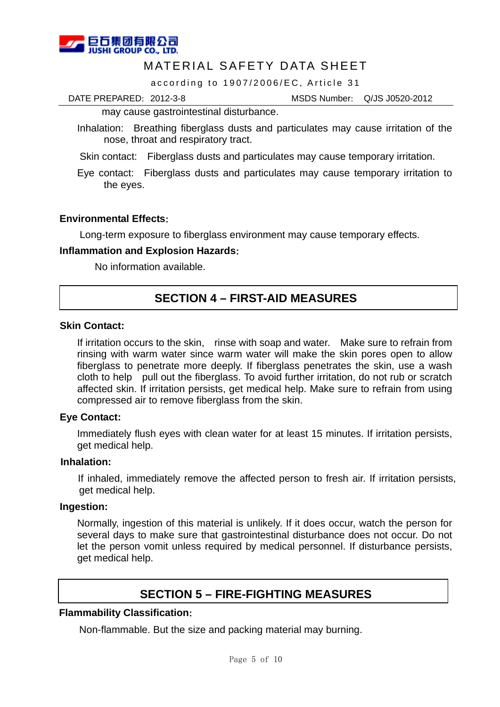

according to 1907/2006/EC, Article 31

DATE PREPARED:2012-3-8 MSDS Number: Q/JS J0520-2012

may cause gastrointestinal disturbance.

Inhalation: Breathing fiberglass dusts and particulates may cause irritation of the nose, throat and respiratory tract.

Skin contact: Fiberglass dusts and particulates may cause temporary irritation.

Eye contact: Fiberglass dusts and particulates may cause temporary irritation to the eyes.

#### **Environmental Effects**:

Long-term exposure to fiberglass environment may cause temporary effects.

#### **Inflammation and Explosion Hazards**:

No information available.

# **SECTION 4 – FIRST-AID MEASURES**

#### **Skin Contact:**

If irritation occurs to the skin, rinse with soap and water. Make sure to refrain from rinsing with warm water since warm water will make the skin pores open to allow fiberglass to penetrate more deeply. If fiberglass penetrates the skin, use a wash cloth to help pull out the fiberglass. To avoid further irritation, do not rub or scratch affected skin. If irritation persists, get medical help. Make sure to refrain from using compressed air to remove fiberglass from the skin.

#### **Eye Contact:**

Immediately flush eyes with clean water for at least 15 minutes. If irritation persists, get medical help.

#### **Inhalation:**

If inhaled, immediately remove the affected person to fresh air. If irritation persists, get medical help.

#### **Ingestion:**

Normally, ingestion of this material is unlikely. If it does occur, watch the person for several days to make sure that gastrointestinal disturbance does not occur. Do not let the person vomit unless required by medical personnel. If disturbance persists, get medical help.

# **SECTION 5 – FIRE-FIGHTING MEASURES**

#### **Flammability Classification**:

Non-flammable. But the size and packing material may burning.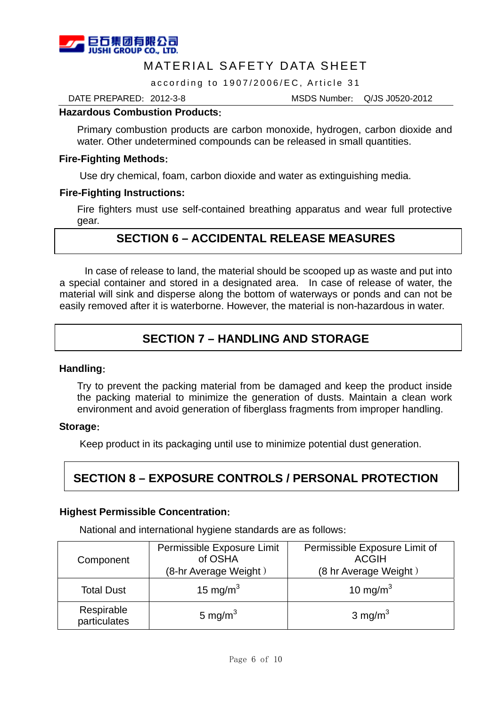

according to 1907/2006/EC, Article 31

DATE PREPARED:2012-3-8 MSDS Number: Q/JS J0520-2012

#### **Hazardous Combustion Products**:

Primary combustion products are carbon monoxide, hydrogen, carbon dioxide and water. Other undetermined compounds can be released in small quantities.

#### **Fire-Fighting Methods**:

Use dry chemical, foam, carbon dioxide and water as extinguishing media.

#### **Fire-Fighting Instructions:**

Fire fighters must use self-contained breathing apparatus and wear full protective gear.

# **SECTION 6 – ACCIDENTAL RELEASE MEASURES**

 In case of release to land, the material should be scooped up as waste and put into a special container and stored in a designated area. In case of release of water, the material will sink and disperse along the bottom of waterways or ponds and can not be easily removed after it is waterborne. However, the material is non-hazardous in water.

# **SECTION 7 – HANDLING AND STORAGE**

#### **Handling**:

Try to prevent the packing material from be damaged and keep the product inside the packing material to minimize the generation of dusts. Maintain a clean work environment and avoid generation of fiberglass fragments from improper handling.

#### **Storage**:

Keep product in its packaging until use to minimize potential dust generation.

# **SECTION 8 – EXPOSURE CONTROLS / PERSONAL PROTECTION**

#### **Highest Permissible Concentration**:

National and international hygiene standards are as follows:

| Component                  | Permissible Exposure Limit<br>of OSHA<br>(8-hr Average Weight) | Permissible Exposure Limit of<br><b>ACGIH</b><br>(8 hr Average Weight) |
|----------------------------|----------------------------------------------------------------|------------------------------------------------------------------------|
| <b>Total Dust</b>          | 15 mg/m $3$                                                    | 10 mg/m $3$                                                            |
| Respirable<br>particulates | 5 mg/m $3$                                                     | 3 mg/m <sup>3</sup>                                                    |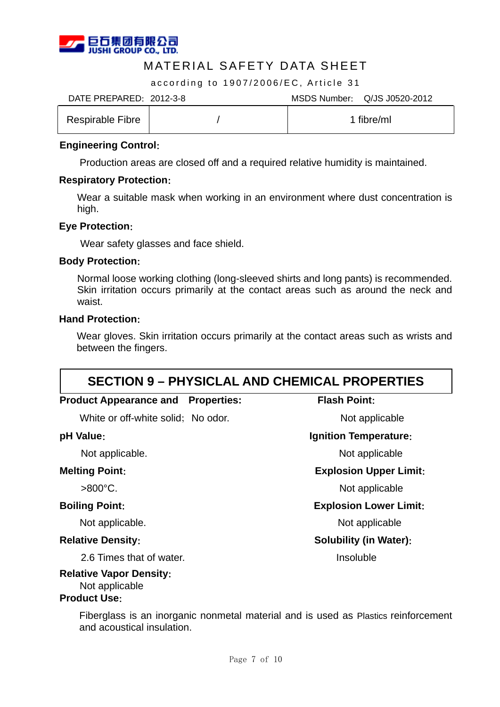

according to 1907/2006/EC, Article 31

DATE PREPARED:2012-3-8 MSDS Number: Q/JS J0520-2012

| Respirable Fibre |  | fibre/ml |
|------------------|--|----------|
|------------------|--|----------|

#### **Engineering Control**:

Production areas are closed off and a required relative humidity is maintained.

#### **Respiratory Protection**:

Wear a suitable mask when working in an environment where dust concentration is high.

#### **Eye Protection**:

Wear safety glasses and face shield.

#### **Body Protection**:

Normal loose working clothing (long-sleeved shirts and long pants) is recommended. Skin irritation occurs primarily at the contact areas such as around the neck and waist.

#### **Hand Protection**:

Wear gloves. Skin irritation occurs primarily at the contact areas such as wrists and between the fingers.

| <b>SECTION 9 - PHYSICLAL AND CHEMICAL PROPERTIES</b> |                               |  |  |
|------------------------------------------------------|-------------------------------|--|--|
| <b>Product Appearance and</b><br><b>Properties:</b>  | <b>Flash Point:</b>           |  |  |
| White or off-white solid; No odor.                   | Not applicable                |  |  |
| pH Value:                                            | <b>Ignition Temperature:</b>  |  |  |
| Not applicable.                                      | Not applicable                |  |  |
| <b>Melting Point:</b>                                | <b>Explosion Upper Limit:</b> |  |  |
| $>800^{\circ}$ C.                                    | Not applicable                |  |  |
| <b>Boiling Point:</b>                                | <b>Explosion Lower Limit:</b> |  |  |
| Not applicable.                                      | Not applicable                |  |  |
| <b>Relative Density:</b>                             | <b>Solubility (in Water):</b> |  |  |
| 2.6 Times that of water.                             | Insoluble                     |  |  |
| <b>Relative Vapor Density:</b>                       |                               |  |  |

#### **Relative Vapor Density**: Not applicable

### **Product Use**:

Fiberglass is an inorganic nonmetal material and is used as Plastics reinforcement and acoustical insulation.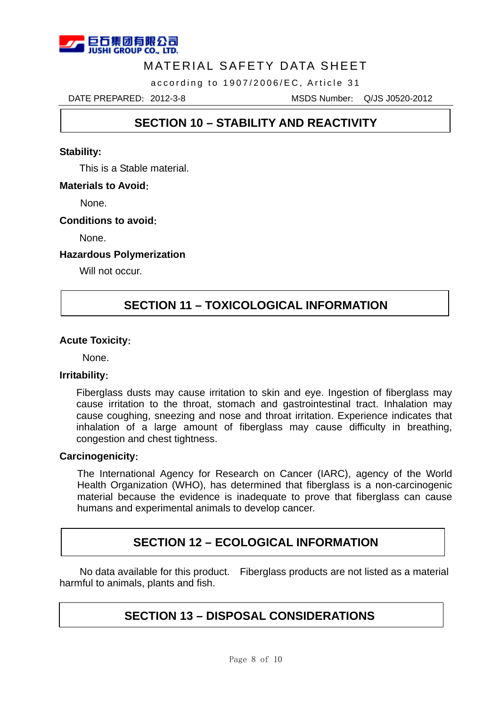

according to 1907/2006/EC, Article 31

DATE PREPARED:2012-3-8 MSDS Number: Q/JS J0520-2012

# **SECTION 10 – STABILITY AND REACTIVITY**

#### **Stability:**

This is a Stable material.

#### **Materials to Avoid**:

None.

#### **Conditions to avoid**:

None.

#### **Hazardous Polymerization**

Will not occur.

# **SECTION 11 – TOXICOLOGICAL INFORMATION**

#### **Acute Toxicity**:

None.

#### **Irritability**:

l

Fiberglass dusts may cause irritation to skin and eye. Ingestion of fiberglass may cause irritation to the throat, stomach and gastrointestinal tract. Inhalation may cause coughing, sneezing and nose and throat irritation. Experience indicates that inhalation of a large amount of fiberglass may cause difficulty in breathing, congestion and chest tightness.

#### **Carcinogenicity**:

The International Agency for Research on Cancer (IARC), agency of the World Health Organization (WHO), has determined that fiberglass is a non-carcinogenic material because the evidence is inadequate to prove that fiberglass can cause humans and experimental animals to develop cancer.

# **SECTION 12 – ECOLOGICAL INFORMATION**

No data available for this product. Fiberglass products are not listed as a material harmful to animals, plants and fish.

# **SECTION 13 – DISPOSAL CONSIDERATIONS**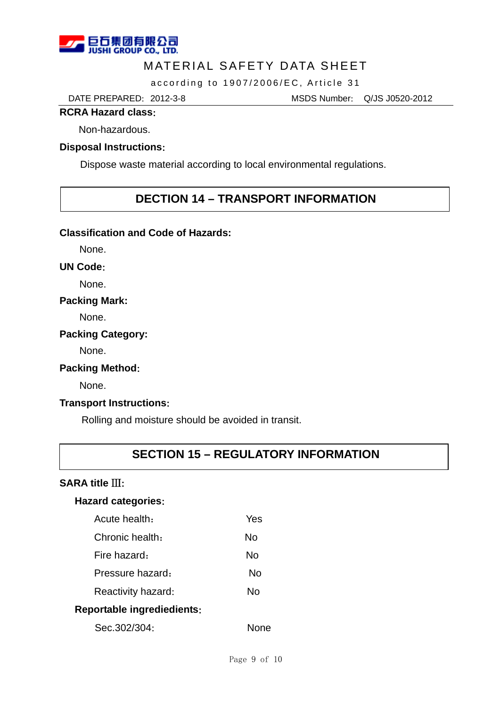

according to 1907/2006/EC, Article 31

DATE PREPARED:2012-3-8 MSDS Number: Q/JS J0520-2012

#### **RCRA Hazard class**:

Non-hazardous.

#### **Disposal Instructions**:

Dispose waste material according to local environmental regulations.

### **DECTION 14 – TRANSPORT INFORMATION**

#### **Classification and Code of Hazards:**

None.

#### **UN Code**:

None.

#### **Packing Mark:**

None.

#### **Packing Category:**

None.

#### **Packing Method**:

None.

#### **Transport Instructions**:

Rolling and moisture should be avoided in transit.

# **SECTION 15 – REGULATORY INFORMATION**

### **SARA title** Ⅲ:

#### **Hazard categories**:

| Acute health:                     | Yes |  |  |
|-----------------------------------|-----|--|--|
| Chronic health:                   | N٥  |  |  |
| Fire hazard.                      | N٥  |  |  |
| Pressure hazard:                  | N٥  |  |  |
| Reactivity hazard:                | N٥  |  |  |
| <b>Reportable ingrediedients:</b> |     |  |  |

| Sec.302/304: | <b>None</b> |
|--------------|-------------|
|--------------|-------------|